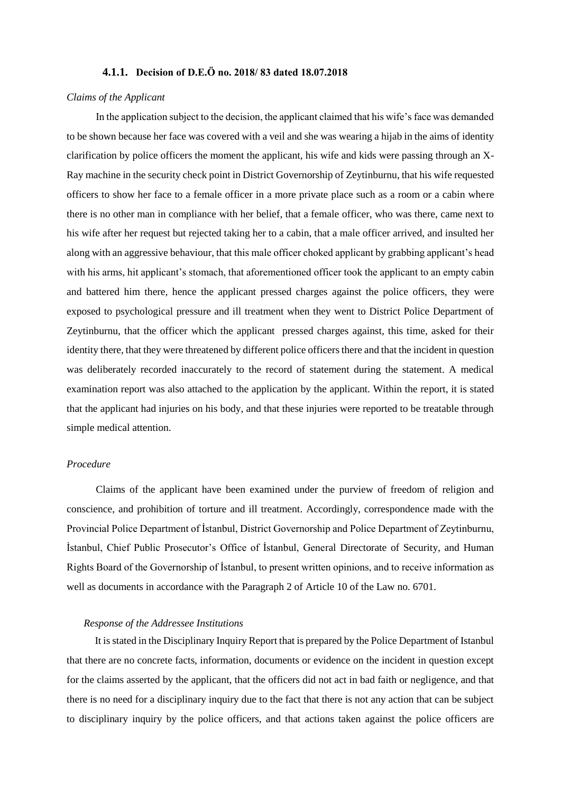# **4.1.1. Decision of D.E.Ö no. 2018/ 83 dated 18.07.2018**

#### *Claims of the Applicant*

In the application subject to the decision, the applicant claimed that his wife's face was demanded to be shown because her face was covered with a veil and she was wearing a hijab in the aims of identity clarification by police officers the moment the applicant, his wife and kids were passing through an X-Ray machine in the security check point in District Governorship of Zeytinburnu, that his wife requested officers to show her face to a female officer in a more private place such as a room or a cabin where there is no other man in compliance with her belief, that a female officer, who was there, came next to his wife after her request but rejected taking her to a cabin, that a male officer arrived, and insulted her along with an aggressive behaviour, that this male officer choked applicant by grabbing applicant's head with his arms, hit applicant's stomach, that aforementioned officer took the applicant to an empty cabin and battered him there, hence the applicant pressed charges against the police officers, they were exposed to psychological pressure and ill treatment when they went to District Police Department of Zeytinburnu, that the officer which the applicant pressed charges against, this time, asked for their identity there, that they were threatened by different police officers there and that the incident in question was deliberately recorded inaccurately to the record of statement during the statement. A medical examination report was also attached to the application by the applicant. Within the report, it is stated that the applicant had injuries on his body, and that these injuries were reported to be treatable through simple medical attention.

## *Procedure*

Claims of the applicant have been examined under the purview of freedom of religion and conscience, and prohibition of torture and ill treatment. Accordingly, correspondence made with the Provincial Police Department of İstanbul, District Governorship and Police Department of Zeytinburnu, İstanbul, Chief Public Prosecutor's Office of İstanbul, General Directorate of Security, and Human Rights Board of the Governorship of İstanbul, to present written opinions, and to receive information as well as documents in accordance with the Paragraph 2 of Article 10 of the Law no. 6701.

## *Response of the Addressee Institutions*

It is stated in the Disciplinary Inquiry Report that is prepared by the Police Department of Istanbul that there are no concrete facts, information, documents or evidence on the incident in question except for the claims asserted by the applicant, that the officers did not act in bad faith or negligence, and that there is no need for a disciplinary inquiry due to the fact that there is not any action that can be subject to disciplinary inquiry by the police officers, and that actions taken against the police officers are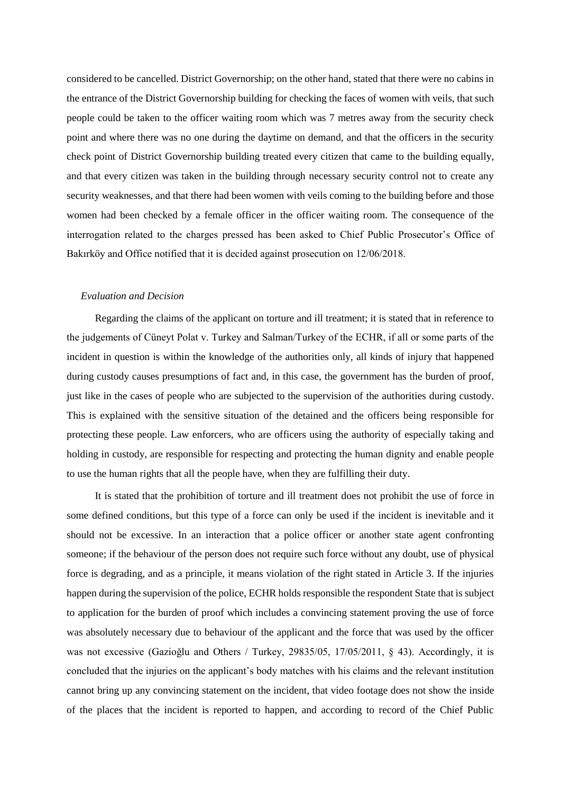considered to be cancelled. District Governorship; on the other hand, stated that there were no cabins in the entrance of the District Governorship building for checking the faces of women with veils, that such people could be taken to the officer waiting room which was 7 metres away from the security check point and where there was no one during the daytime on demand, and that the officers in the security check point of District Governorship building treated every citizen that came to the building equally, and that every citizen was taken in the building through necessary security control not to create any security weaknesses, and that there had been women with veils coming to the building before and those women had been checked by a female officer in the officer waiting room. The consequence of the interrogation related to the charges pressed has been asked to Chief Public Prosecutor's Office of Bakırköy and Office notified that it is decided against prosecution on 12/06/2018.

### *Evaluation and Decision*

Regarding the claims of the applicant on torture and ill treatment; it is stated that in reference to the judgements of Cüneyt Polat v. Turkey and Salman/Turkey of the ECHR, if all or some parts of the incident in question is within the knowledge of the authorities only, all kinds of injury that happened during custody causes presumptions of fact and, in this case, the government has the burden of proof, just like in the cases of people who are subjected to the supervision of the authorities during custody. This is explained with the sensitive situation of the detained and the officers being responsible for protecting these people. Law enforcers, who are officers using the authority of especially taking and holding in custody, are responsible for respecting and protecting the human dignity and enable people to use the human rights that all the people have, when they are fulfilling their duty.

It is stated that the prohibition of torture and ill treatment does not prohibit the use of force in some defined conditions, but this type of a force can only be used if the incident is inevitable and it should not be excessive. In an interaction that a police officer or another state agent confronting someone; if the behaviour of the person does not require such force without any doubt, use of physical force is degrading, and as a principle, it means violation of the right stated in Article 3. If the injuries happen during the supervision of the police, ECHR holds responsible the respondent State that is subject to application for the burden of proof which includes a convincing statement proving the use of force was absolutely necessary due to behaviour of the applicant and the force that was used by the officer was not excessive (Gazioğlu and Others / Turkey, 29835/05, 17/05/2011, § 43). Accordingly, it is concluded that the injuries on the applicant's body matches with his claims and the relevant institution cannot bring up any convincing statement on the incident, that video footage does not show the inside of the places that the incident is reported to happen, and according to record of the Chief Public